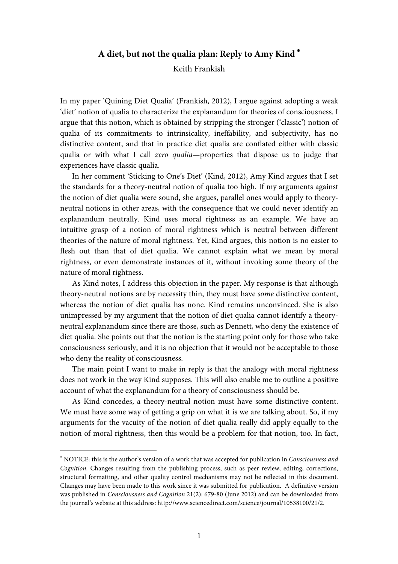## **A diet, but not the qualia plan: Reply to Amy Kind** <sup>∗</sup>

Keith Frankish

In my paper 'Quining Diet Qualia' (Frankish, 2012), I argue against adopting a weak 'diet' notion of qualia to characterize the explanandum for theories of consciousness. I argue that this notion, which is obtained by stripping the stronger ('classic') notion of qualia of its commitments to intrinsicality, ineffability, and subjectivity, has no distinctive content, and that in practice diet qualia are conflated either with classic qualia or with what I call zero qualia-properties that dispose us to judge that experiences have classic qualia.

 In her comment 'Sticking to One's Diet' (Kind, 2012), Amy Kind argues that I set the standards for a theory-neutral notion of qualia too high. If my arguments against the notion of diet qualia were sound, she argues, parallel ones would apply to theoryneutral notions in other areas, with the consequence that we could never identify an explanandum neutrally. Kind uses moral rightness as an example. We have an intuitive grasp of a notion of moral rightness which is neutral between different theories of the nature of moral rightness. Yet, Kind argues, this notion is no easier to flesh out than that of diet qualia. We cannot explain what we mean by moral rightness, or even demonstrate instances of it, without invoking some theory of the nature of moral rightness.

 As Kind notes, I address this objection in the paper. My response is that although theory-neutral notions are by necessity thin, they must have some distinctive content, whereas the notion of diet qualia has none. Kind remains unconvinced. She is also unimpressed by my argument that the notion of diet qualia cannot identify a theoryneutral explanandum since there are those, such as Dennett, who deny the existence of diet qualia. She points out that the notion is the starting point only for those who take consciousness seriously, and it is no objection that it would not be acceptable to those who deny the reality of consciousness.

 The main point I want to make in reply is that the analogy with moral rightness does not work in the way Kind supposes. This will also enable me to outline a positive account of what the explanandum for a theory of consciousness should be.

 As Kind concedes, a theory-neutral notion must have some distinctive content. We must have some way of getting a grip on what it is we are talking about. So, if my arguments for the vacuity of the notion of diet qualia really did apply equally to the notion of moral rightness, then this would be a problem for that notion, too. In fact,

 $\overline{a}$ 

<sup>∗</sup> NOTICE: this is the author's version of a work that was accepted for publication in Consciousness and Cognition. Changes resulting from the publishing process, such as peer review, editing, corrections, structural formatting, and other quality control mechanisms may not be reflected in this document. Changes may have been made to this work since it was submitted for publication. A definitive version was published in Consciousness and Cognition 21(2): 679-80 (June 2012) and can be downloaded from the journal's website at this address: http://www.sciencedirect.com/science/journal/10538100/21/2.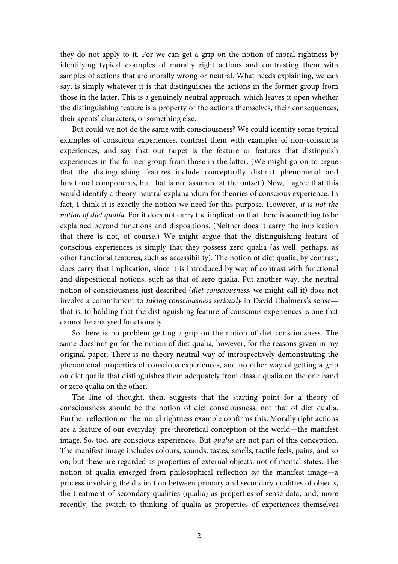they do not apply to it. For we can get a grip on the notion of moral rightness by identifying typical examples of morally right actions and contrasting them with samples of actions that are morally wrong or neutral. What needs explaining, we can say, is simply whatever it is that distinguishes the actions in the former group from those in the latter. This is a genuinely neutral approach, which leaves it open whether the distinguishing feature is a property of the actions themselves, their consequences, their agents' characters, or something else.

 But could we not do the same with consciousness? We could identify some typical examples of conscious experiences, contrast them with examples of non-conscious experiences, and say that our target is the feature or features that distinguish experiences in the former group from those in the latter. (We might go on to argue that the distinguishing features include conceptually distinct phenomenal and functional components, but that is not assumed at the outset.) Now, I agree that this would identify a theory-neutral explanandum for theories of conscious experience. In fact, I think it is exactly the notion we need for this purpose. However, it is not the notion of diet qualia. For it does not carry the implication that there is something to be explained beyond functions and dispositions. (Neither does it carry the implication that there is not, of course.) We might argue that the distinguishing feature of conscious experiences is simply that they possess zero qualia (as well, perhaps, as other functional features, such as accessibility). The notion of diet qualia, by contrast, does carry that implication, since it is introduced by way of contrast with functional and dispositional notions, such as that of zero qualia. Put another way, the neutral notion of consciousness just described (diet consciousness, we might call it) does not involve a commitment to taking consciousness seriously in David Chalmers's sense that is, to holding that the distinguishing feature of conscious experiences is one that cannot be analysed functionally.

 So there is no problem getting a grip on the notion of diet consciousness. The same does not go for the notion of diet qualia, however, for the reasons given in my original paper. There is no theory-neutral way of introspectively demonstrating the phenomenal properties of conscious experiences, and no other way of getting a grip on diet qualia that distinguishes them adequately from classic qualia on the one hand or zero qualia on the other.

 The line of thought, then, suggests that the starting point for a theory of consciousness should be the notion of diet consciousness, not that of diet qualia. Further reflection on the moral rightness example confirms this. Morally right actions are a feature of our everyday, pre-theoretical conception of the world—the manifest image. So, too, are conscious experiences. But qualia are not part of this conception. The manifest image includes colours, sounds, tastes, smells, tactile feels, pains, and so on; but these are regarded as properties of external objects, not of mental states. The notion of qualia emerged from philosophical reflection on the manifest image—a process involving the distinction between primary and secondary qualities of objects, the treatment of secondary qualities (qualia) as properties of sense-data, and, more recently, the switch to thinking of qualia as properties of experiences themselves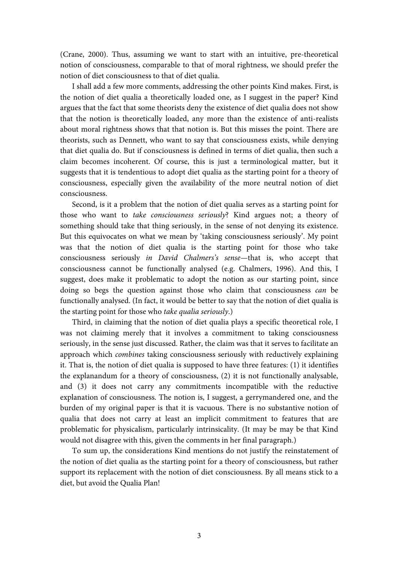(Crane, 2000). Thus, assuming we want to start with an intuitive, pre-theoretical notion of consciousness, comparable to that of moral rightness, we should prefer the notion of diet consciousness to that of diet qualia.

 I shall add a few more comments, addressing the other points Kind makes. First, is the notion of diet qualia a theoretically loaded one, as I suggest in the paper? Kind argues that the fact that some theorists deny the existence of diet qualia does not show that the notion is theoretically loaded, any more than the existence of anti-realists about moral rightness shows that that notion is. But this misses the point. There are theorists, such as Dennett, who want to say that consciousness exists, while denying that diet qualia do. But if consciousness is defined in terms of diet qualia, then such a claim becomes incoherent. Of course, this is just a terminological matter, but it suggests that it is tendentious to adopt diet qualia as the starting point for a theory of consciousness, especially given the availability of the more neutral notion of diet consciousness.

 Second, is it a problem that the notion of diet qualia serves as a starting point for those who want to take consciousness seriously? Kind argues not; a theory of something should take that thing seriously, in the sense of not denying its existence. But this equivocates on what we mean by 'taking consciousness seriously'. My point was that the notion of diet qualia is the starting point for those who take consciousness seriously in David Chalmers's sense—that is, who accept that consciousness cannot be functionally analysed (e.g. Chalmers, 1996). And this, I suggest, does make it problematic to adopt the notion as our starting point, since doing so begs the question against those who claim that consciousness can be functionally analysed. (In fact, it would be better to say that the notion of diet qualia is the starting point for those who take qualia seriously.)

 Third, in claiming that the notion of diet qualia plays a specific theoretical role, I was not claiming merely that it involves a commitment to taking consciousness seriously, in the sense just discussed. Rather, the claim was that it serves to facilitate an approach which combines taking consciousness seriously with reductively explaining it. That is, the notion of diet qualia is supposed to have three features: (1) it identifies the explanandum for a theory of consciousness, (2) it is not functionally analysable, and (3) it does not carry any commitments incompatible with the reductive explanation of consciousness. The notion is, I suggest, a gerrymandered one, and the burden of my original paper is that it is vacuous. There is no substantive notion of qualia that does not carry at least an implicit commitment to features that are problematic for physicalism, particularly intrinsicality. (It may be may be that Kind would not disagree with this, given the comments in her final paragraph.)

 To sum up, the considerations Kind mentions do not justify the reinstatement of the notion of diet qualia as the starting point for a theory of consciousness, but rather support its replacement with the notion of diet consciousness. By all means stick to a diet, but avoid the Qualia Plan!